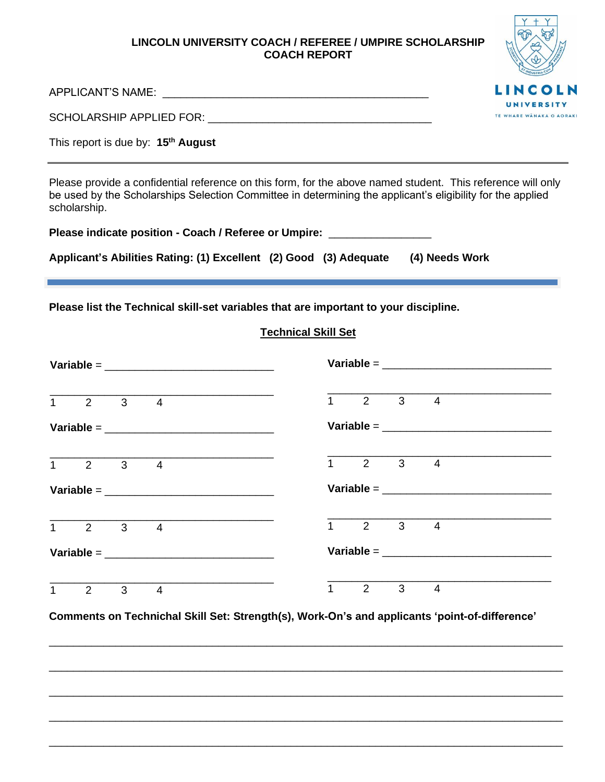### **LINCOLN UNIVERSITY COACH / REFEREE / UMPIRE SCHOLARSHIP COACH REPORT**



APPLICANT'S NAME: \_\_\_\_\_\_\_\_\_\_\_\_\_\_\_\_\_\_\_\_\_\_\_\_\_\_\_\_\_\_\_\_\_\_\_\_\_\_\_\_\_\_\_\_

SCHOLARSHIP APPLIED FOR: \_\_\_\_\_\_\_\_\_\_\_\_\_\_\_\_\_\_\_\_\_\_\_\_\_\_\_\_\_\_\_\_\_\_\_\_\_

This report is due by: **15th August**

Please provide a confidential reference on this form, for the above named student. This reference will only be used by the Scholarships Selection Committee in determining the applicant's eligibility for the applied scholarship.

**Please indicate position - Coach / Referee or Umpire:** \_\_\_\_\_\_\_\_\_\_\_\_\_\_\_\_\_

| Applicant's Abilities Rating: (1) Excellent (2) Good (3) Adequate |  | (4) Needs Work |
|-------------------------------------------------------------------|--|----------------|
|                                                                   |  |                |

**Please list the Technical skill-set variables that are important to your discipline.**

# **Technical Skill Set**

|              |                                                             |              |                       |  |  |                                |  | Variable = $\frac{1}{2}$ = $\frac{1}{2}$ = $\frac{1}{2}$ = $\frac{1}{2}$ = $\frac{1}{2}$ = $\frac{1}{2}$ = $\frac{1}{2}$ = $\frac{1}{2}$ = $\frac{1}{2}$ = $\frac{1}{2}$ = $\frac{1}{2}$ = $\frac{1}{2}$ = $\frac{1}{2}$ = $\frac{1}{2}$ = $\frac{1}{2}$ = $\frac{1}{2}$ = $\frac{1}{2}$ = $\frac{1}{$ |  |  |
|--------------|-------------------------------------------------------------|--------------|-----------------------|--|--|--------------------------------|--|--------------------------------------------------------------------------------------------------------------------------------------------------------------------------------------------------------------------------------------------------------------------------------------------------------|--|--|
|              | $\overline{1}$ $\overline{2}$ $\overline{3}$ $\overline{4}$ |              |                       |  |  | $1 \quad 2 \quad 3 \quad 4$    |  |                                                                                                                                                                                                                                                                                                        |  |  |
|              |                                                             |              |                       |  |  |                                |  | Variable = $\_$                                                                                                                                                                                                                                                                                        |  |  |
|              | $\overline{1}$ $\overline{2}$ $\overline{3}$ $\overline{4}$ |              |                       |  |  | $\overline{1}$ 2 3 4           |  |                                                                                                                                                                                                                                                                                                        |  |  |
|              |                                                             |              | Variable = $\_$       |  |  |                                |  |                                                                                                                                                                                                                                                                                                        |  |  |
|              | $\overline{1}$ 2 3 4                                        |              |                       |  |  | $1 \quad 2 \quad 3 \quad 4$    |  |                                                                                                                                                                                                                                                                                                        |  |  |
|              | Variable = $\_$                                             |              | Variable = $\sqrt{ }$ |  |  |                                |  |                                                                                                                                                                                                                                                                                                        |  |  |
| $\mathbf{1}$ | $\overline{2}$                                              | $3 \qquad 4$ |                       |  |  | $1 \qquad 2 \qquad 3 \qquad 4$ |  |                                                                                                                                                                                                                                                                                                        |  |  |

**Comments on Technichal Skill Set: Strength(s), Work-On's and applicants 'point-of-difference'**

\_\_\_\_\_\_\_\_\_\_\_\_\_\_\_\_\_\_\_\_\_\_\_\_\_\_\_\_\_\_\_\_\_\_\_\_\_\_\_\_\_\_\_\_\_\_\_\_\_\_\_\_\_\_\_\_\_\_\_\_\_\_\_\_\_\_\_\_\_\_\_\_\_\_\_\_\_\_\_\_\_\_\_\_\_

\_\_\_\_\_\_\_\_\_\_\_\_\_\_\_\_\_\_\_\_\_\_\_\_\_\_\_\_\_\_\_\_\_\_\_\_\_\_\_\_\_\_\_\_\_\_\_\_\_\_\_\_\_\_\_\_\_\_\_\_\_\_\_\_\_\_\_\_\_\_\_\_\_\_\_\_\_\_\_\_\_\_\_\_\_

\_\_\_\_\_\_\_\_\_\_\_\_\_\_\_\_\_\_\_\_\_\_\_\_\_\_\_\_\_\_\_\_\_\_\_\_\_\_\_\_\_\_\_\_\_\_\_\_\_\_\_\_\_\_\_\_\_\_\_\_\_\_\_\_\_\_\_\_\_\_\_\_\_\_\_\_\_\_\_\_\_\_\_\_\_

\_\_\_\_\_\_\_\_\_\_\_\_\_\_\_\_\_\_\_\_\_\_\_\_\_\_\_\_\_\_\_\_\_\_\_\_\_\_\_\_\_\_\_\_\_\_\_\_\_\_\_\_\_\_\_\_\_\_\_\_\_\_\_\_\_\_\_\_\_\_\_\_\_\_\_\_\_\_\_\_\_\_\_\_\_

\_\_\_\_\_\_\_\_\_\_\_\_\_\_\_\_\_\_\_\_\_\_\_\_\_\_\_\_\_\_\_\_\_\_\_\_\_\_\_\_\_\_\_\_\_\_\_\_\_\_\_\_\_\_\_\_\_\_\_\_\_\_\_\_\_\_\_\_\_\_\_\_\_\_\_\_\_\_\_\_\_\_\_\_\_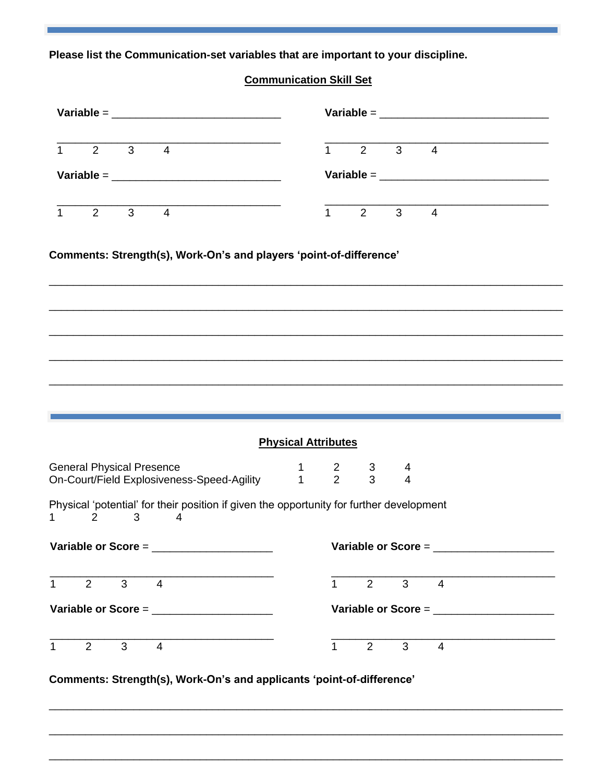Please list the Communication-set variables that are important to your discipline.

# **Communication Skill Set**

|                             |                                |                     | Variable = $\frac{1}{2}$ = $\frac{1}{2}$ = $\frac{1}{2}$ = $\frac{1}{2}$ = $\frac{1}{2}$ = $\frac{1}{2}$ = $\frac{1}{2}$ = $\frac{1}{2}$ = $\frac{1}{2}$ = $\frac{1}{2}$ = $\frac{1}{2}$ = $\frac{1}{2}$ = $\frac{1}{2}$ = $\frac{1}{2}$ = $\frac{1}{2}$ = $\frac{1}{2}$ = $\frac{1}{2}$ = $\frac{1}{$ |                            |                |                                       |                     |                                            |  |
|-----------------------------|--------------------------------|---------------------|--------------------------------------------------------------------------------------------------------------------------------------------------------------------------------------------------------------------------------------------------------------------------------------------------------|----------------------------|----------------|---------------------------------------|---------------------|--------------------------------------------|--|
|                             | $1 \quad 2 \quad 3 \quad 4$    |                     |                                                                                                                                                                                                                                                                                                        |                            |                | $1 \quad 2 \quad 3 \quad 4$           |                     |                                            |  |
|                             |                                |                     | Variable = $\_$                                                                                                                                                                                                                                                                                        |                            |                |                                       |                     | Variable = $\_$                            |  |
|                             | $1 \qquad 2 \qquad 3 \qquad 4$ |                     |                                                                                                                                                                                                                                                                                                        |                            |                | $1 \t2 \t3 \t4$                       |                     |                                            |  |
|                             |                                |                     | Comments: Strength(s), Work-On's and players 'point-of-difference'                                                                                                                                                                                                                                     |                            |                |                                       |                     |                                            |  |
|                             |                                |                     |                                                                                                                                                                                                                                                                                                        |                            |                |                                       |                     |                                            |  |
|                             |                                |                     |                                                                                                                                                                                                                                                                                                        | <b>Physical Attributes</b> |                |                                       |                     |                                            |  |
|                             |                                |                     |                                                                                                                                                                                                                                                                                                        |                            |                | $3 \quad \blacksquare$<br>$3^{\circ}$ | 4<br>$\overline{4}$ |                                            |  |
|                             | 2                              | 3                   | 2 ـ ـ ـ 1 ـ ـ 1 ـ ـ 1 ـ Dn-Court/Field Explosiveness-Speed-Agility<br>On-Court/Field Explosiveness-Speed-Agility ـ ـ 1 ـ ـ 2<br>Physical 'potential' for their position if given the opportunity for further development<br>4                                                                          |                            |                |                                       |                     |                                            |  |
|                             |                                |                     | Variable or Score = $\frac{1}{2}$                                                                                                                                                                                                                                                                      |                            |                |                                       |                     | Variable or Score = $\frac{1}{2}$          |  |
|                             |                                | $2 \quad 3 \quad 4$ |                                                                                                                                                                                                                                                                                                        |                            | $1 \quad \Box$ | $2^{\sim}$                            |                     | $3 \qquad 4$                               |  |
| 1<br>$1 \quad \blacksquare$ |                                |                     | Variable or Score = $\frac{1}{2}$                                                                                                                                                                                                                                                                      |                            |                |                                       |                     | Variable or Score = ______________________ |  |

Comments: Strength(s), Work-On's and applicants 'point-of-difference'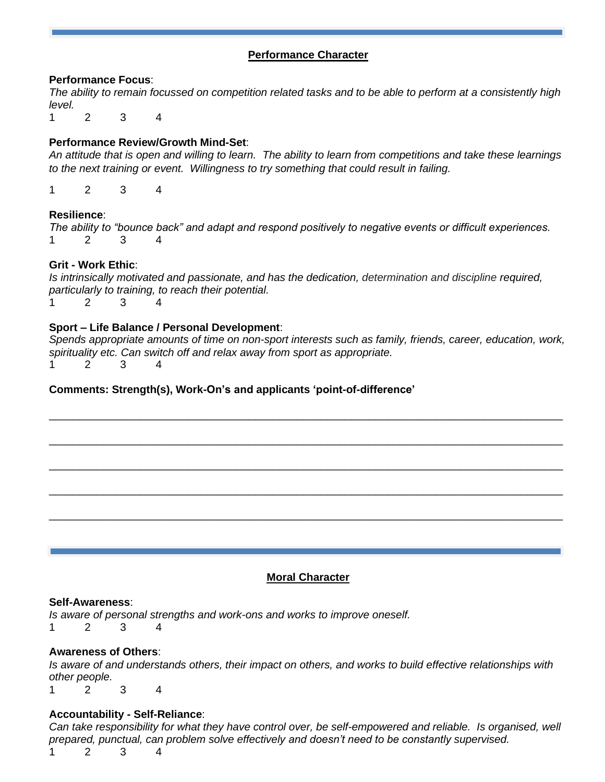# **Performance Character**

### **Performance Focus**:

*The ability to remain focussed on competition related tasks and to be able to perform at a consistently high level.*

1 2 3 4

# **Performance Review/Growth Mind-Set**:

*An attitude that is open and willing to learn. The ability to learn from competitions and take these learnings to the next training or event. Willingness to try something that could result in failing.*

1 2 3 4

### **Resilience**:

*The ability to "bounce back" and adapt and respond positively to negative events or difficult experiences.* 1 2 3 4

## **Grit - Work Ethic**:

*Is intrinsically motivated and passionate, and has the dedication, determination and discipline required, particularly to training, to reach their potential.* 1 2 3 4

### **Sport – Life Balance / Personal Development**:

*Spends appropriate amounts of time on non-sport interests such as family, friends, career, education, work, spirituality etc. Can switch off and relax away from sport as appropriate.* 1 2 3 4

\_\_\_\_\_\_\_\_\_\_\_\_\_\_\_\_\_\_\_\_\_\_\_\_\_\_\_\_\_\_\_\_\_\_\_\_\_\_\_\_\_\_\_\_\_\_\_\_\_\_\_\_\_\_\_\_\_\_\_\_\_\_\_\_\_\_\_\_\_\_\_\_\_\_\_\_\_\_\_\_\_\_\_\_\_

\_\_\_\_\_\_\_\_\_\_\_\_\_\_\_\_\_\_\_\_\_\_\_\_\_\_\_\_\_\_\_\_\_\_\_\_\_\_\_\_\_\_\_\_\_\_\_\_\_\_\_\_\_\_\_\_\_\_\_\_\_\_\_\_\_\_\_\_\_\_\_\_\_\_\_\_\_\_\_\_\_\_\_\_\_

\_\_\_\_\_\_\_\_\_\_\_\_\_\_\_\_\_\_\_\_\_\_\_\_\_\_\_\_\_\_\_\_\_\_\_\_\_\_\_\_\_\_\_\_\_\_\_\_\_\_\_\_\_\_\_\_\_\_\_\_\_\_\_\_\_\_\_\_\_\_\_\_\_\_\_\_\_\_\_\_\_\_\_\_\_

\_\_\_\_\_\_\_\_\_\_\_\_\_\_\_\_\_\_\_\_\_\_\_\_\_\_\_\_\_\_\_\_\_\_\_\_\_\_\_\_\_\_\_\_\_\_\_\_\_\_\_\_\_\_\_\_\_\_\_\_\_\_\_\_\_\_\_\_\_\_\_\_\_\_\_\_\_\_\_\_\_\_\_\_\_

\_\_\_\_\_\_\_\_\_\_\_\_\_\_\_\_\_\_\_\_\_\_\_\_\_\_\_\_\_\_\_\_\_\_\_\_\_\_\_\_\_\_\_\_\_\_\_\_\_\_\_\_\_\_\_\_\_\_\_\_\_\_\_\_\_\_\_\_\_\_\_\_\_\_\_\_\_\_\_\_\_\_\_\_\_

## **Comments: Strength(s), Work-On's and applicants 'point-of-difference'**

## **Moral Character**

#### **Self-Awareness**:

*Is aware of personal strengths and work-ons and works to improve oneself.* 1 2 3 4

#### **Awareness of Others**:

*Is aware of and understands others, their impact on others, and works to build effective relationships with other people.* 1 2 3 4

#### **Accountability - Self-Reliance**:

*Can take responsibility for what they have control over, be self-empowered and reliable. Is organised, well prepared, punctual, can problem solve effectively and doesn't need to be constantly supervised.*

1 2 3 4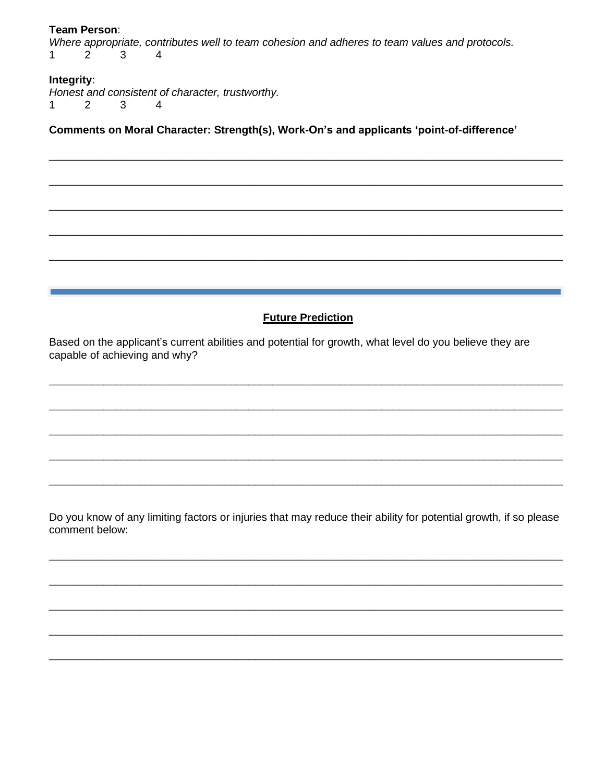#### Team Person:

Where appropriate, contributes well to team cohesion and adheres to team values and protocols.  $\mathbf{1}$  $\overline{2}$ 3  $\overline{4}$ 

# Integrity:

Honest and consistent of character, trustworthy.  $\mathbf{1}$ 2  $\mathbf{3}$  $\overline{4}$ 

Comments on Moral Character: Strength(s), Work-On's and applicants 'point-of-difference'

# **Future Prediction**

Based on the applicant's current abilities and potential for growth, what level do you believe they are capable of achieving and why?

Do you know of any limiting factors or injuries that may reduce their ability for potential growth, if so please comment below: